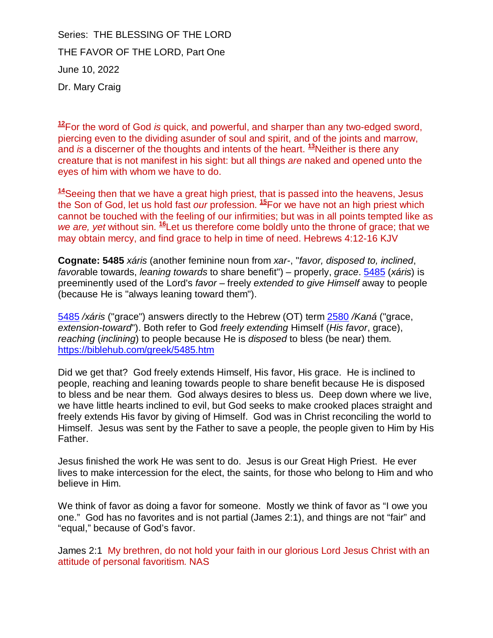Series: THE BLESSING OF THE LORD THE FAVOR OF THE LORD, Part One June 10, 2022 Dr. Mary Craig

**<sup>12</sup>**For the word of God is [quick, and powerful, and sharper than any two-edged sword,](https://biblehub.com/hebrews/4-12.htm)  piercing even to the dividing asunder of soul and spirit, and of the joints and marrow, and is a discerner of the thoughts and intents of the heart. **<sup>13</sup>**[Neither is there any](https://biblehub.com/hebrews/4-13.htm)  creature that is not manifest in his sight: but all things are naked and opened unto the eyes of him with whom we have to do.

**<sup>14</sup>**Seeing then that we have a great high priest, that is passed into the heavens, Jesus [th](https://biblehub.com/hebrews/4-14.htm)e Son of God, let us hold fast our profession. **<sup>15</sup>**[For we have not an high priest which](https://biblehub.com/hebrews/4-15.htm)  cannot be touched with the feeling of our infirmities; but was in all points tempted like as we are, yet without sin. <sup>16</sup>Let us therefore come boldly unto the throne of grace; that we may obtain mercy, and find grace to help in time of need. Hebrews 4:12-16 KJV

**Cognate: 5485** xáris (another feminine noun from xar-, "favor, disposed to, inclined, favorable towards, leaning towards to share benefit") – properly, grace. 5485 (xáris) is preeminently used of the Lord's favor – freely extended to give Himself [away to people](https://biblehub.com/greek/5485.htm)  (because He is "always leaning toward them").

5485 /xáris [\("grace"\) answers directly to the Hebrew \(OT\) term 2580](https://biblehub.com/greek/5485.htm) /Kaná ("grace, extension-toward"). Both refer to God freely extending Himself (His favor, grace), reaching (inclining) to people because He is disposed to bless (be near) them. <https://biblehub.com/greek/5485.htm>

Did we get that? God freely extends Himself, His favor, His grace. He is inclined to people, reaching and leaning towards people to share benefit because He is disposed to bless and be near them. God always desires to bless us. Deep down where we live, we have little hearts inclined to evil, but God seeks to make crooked places straight and freely extends His favor by giving of Himself. God was in Christ reconciling the world to Himself. Jesus was sent by the Father to save a people, the people given to Him by His Father.

Jesus finished the work He was sent to do. Jesus is our Great High Priest. He ever lives to make intercession for the elect, the saints, for those who belong to Him and who believe in Him.

We think of favor as doing a favor for someone. Mostly we think of favor as "I owe you one." God has no favorites and is not partial (James 2:1), and things are not "fair" and "equal," because of God's favor.

James 2:1 My brethren, do not hold your faith in our glorious Lord Jesus Christ with an attitude of personal favoritism. NAS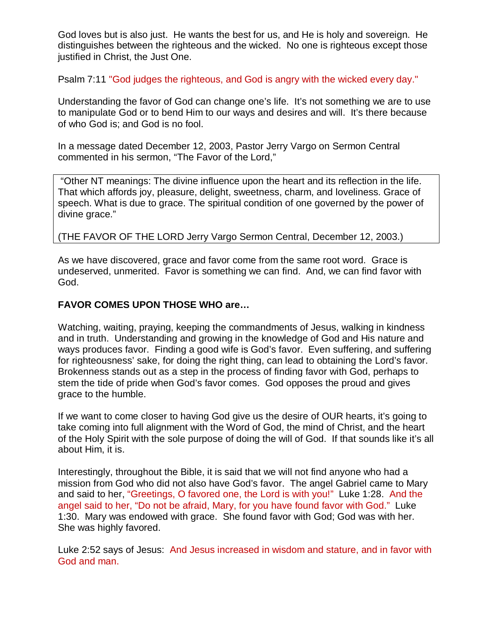God loves but is also just. He wants the best for us, and He is holy and sovereign. He distinguishes between the righteous and the wicked. No one is righteous except those justified in Christ, the Just One.

Psalm 7:11 "God judges the righteous, and God is angry with the wicked every day."

Understanding the favor of God can change one's life. It's not something we are to use to manipulate God or to bend Him to our ways and desires and will. It's there because of who God is; and God is no fool.

In a message dated December 12, 2003, Pastor Jerry Vargo on Sermon Central commented in his sermon, "The Favor of the Lord,"

 "Other NT meanings: The divine influence upon the heart and its reflection in the life. That which affords joy, pleasure, delight, sweetness, charm, and loveliness. Grace of speech. What is due to grace. The spiritual condition of one governed by the power of divine grace."

# (THE FAVOR OF THE LORD Jerry Vargo Sermon Central, December 12, 2003.)

As we have discovered, grace and favor come from the same root word. Grace is undeserved, unmerited. Favor is something we can find. And, we can find favor with God.

## **FAVOR COMES UPON THOSE WHO are…**

Watching, waiting, praying, keeping the commandments of Jesus, walking in kindness and in truth. Understanding and growing in the knowledge of God and His nature and ways produces favor. Finding a good wife is God's favor. Even suffering, and suffering for righteousness' sake, for doing the right thing, can lead to obtaining the Lord's favor. Brokenness stands out as a step in the process of finding favor with God, perhaps to stem the tide of pride when God's favor comes. God opposes the proud and gives grace to the humble.

If we want to come closer to having God give us the desire of OUR hearts, it's going to take coming into full alignment with the Word of God, the mind of Christ, and the heart of the Holy Spirit with the sole purpose of doing the will of God. If that sounds like it's all about Him, it is.

Interestingly, throughout the Bible, it is said that we will not find anyone who had a mission from God who did not also have God's favor. The angel Gabriel came to Mary and said to her, "Greetings, O favored one, the Lord is with you!" Luke 1:28. And the angel said to her, "Do not be afraid, Mary, for you have found favor with God." Luke 1:30. Mary was endowed with grace. She found favor with God; God was with her. She was highly favored.

Luke 2:52 says of Jesus: And Jesus increased in wisdom and stature, and in favor with God and man.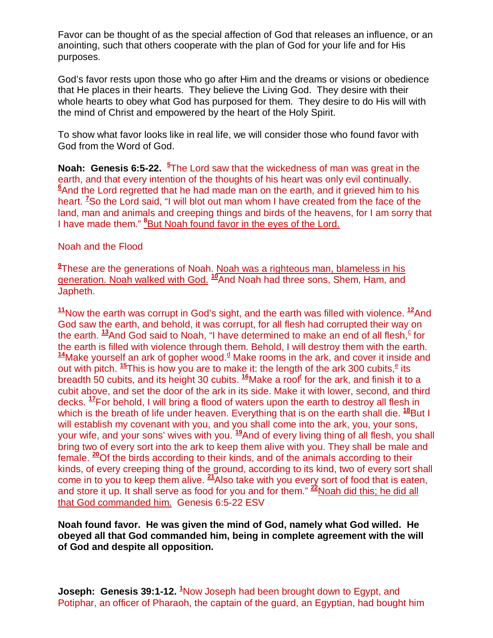Favor can be thought of as the special affection of God that releases an influence, or an anointing, such that others cooperate with the plan of God for your life and for His purposes.

God's favor rests upon those who go after Him and the dreams or visions or obedience that He places in their hearts. They believe the Living God. They desire with their whole hearts to obey what God has purposed for them. They desire to do His will with the mind of Christ and empowered by the heart of the Holy Spirit.

To show what favor looks like in real life, we will consider those who found favor with God from the Word of God.

**Noah: Genesis 6:5-22. <sup>5</sup>** The Lord saw that the wickedness of man was great in the earth, and that every intention of the thoughts of his heart was only evil continually. **<sup>6</sup>**And the Lord regretted that he had made man on the earth, and it grieved him to his heart. **<sup>7</sup>**So the Lord said, "I will blot out man whom I have created from the face of the land, man and animals and creeping things and birds of the heavens, for I am sorry that I have made them." **<sup>8</sup>**But Noah found favor in the eyes of the Lord.

## Noah and the Flood

**9** These are the generations of Noah. Noah was a righteous man, blameless in his generation. Noah walked with God. **<sup>10</sup>**[And Noah had three sons, Shem, Ham, and](http://biblehub.com/genesis/6-10.htm)  Japheth.

**<sup>11</sup>**[Now the earth was corrupt in God's sight, and the earth was filled with violence.](http://biblehub.com/genesis/6-11.htm) **<sup>12</sup>**[And](http://biblehub.com/genesis/6-12.htm)  God saw the earth, and behold, it was corrupt, for all flesh had corrupted their way on the earth. <sup>13</sup>[And God said to Noah, "I have determined to make an end of all flesh,](http://biblehub.com/genesis/6-13.htm)<sup>c</sup> for the earth is filled with violence through them. Behold, I will destroy them with the earth. <sup>14</sup>Make yourself an ark of gopher wood.<sup>d</sup> Make rooms in the ark, and cover it inside and out with pitch. <sup>15</sup>[This is how you are to make it: the length of the ark 300 cubits,](http://biblehub.com/genesis/6-15.htm)<sup>e</sup> its breadth 50 cubits, and its height 30 cubits. <sup>16</sup>Make a roof<sup>f</sup> for the ark, and finish it to a cubit above, and set the door of the ark in i[ts](http://biblehub.com/genesis/6-16.htm) side. Make it with lower, second, and third decks. **<sup>17</sup>**[For behold, I will bring a flood of waters upon the earth to destroy all flesh in](http://biblehub.com/genesis/6-17.htm)  which is the breath of life under heaven. Everything that is on the earth shall die. <sup>18</sup>But I will establish my covenant with you, and you shall come into the ark, you, your sons, your wife, and your sons' wives with you. **<sup>19</sup>**And of every living thing of all flesh, you shall bring two of every sort into the ark to kee[p t](http://biblehub.com/genesis/6-19.htm)hem alive with you. They shall be male and female. **<sup>20</sup>**[Of the birds according to their kinds, and of the animals according to their](http://biblehub.com/genesis/6-20.htm)  kinds, of every creeping thing of the ground, according to its kind, two of every sort shall come in to you to keep them alive. **<sup>21</sup>**[Also take with you every sort of food that is eaten,](http://biblehub.com/genesis/6-21.htm)  and store it up. It shall serve as food for you and for them." **[22](http://biblehub.com/genesis/6-22.htm)**Noah did this; he did all that God commanded him. Genesis 6:5-22 ESV

# **Noah found favor. He was given the mind of God, namely what God willed. He obeyed all that God commanded him, being in complete agreement with the will of God and despite all opposition.**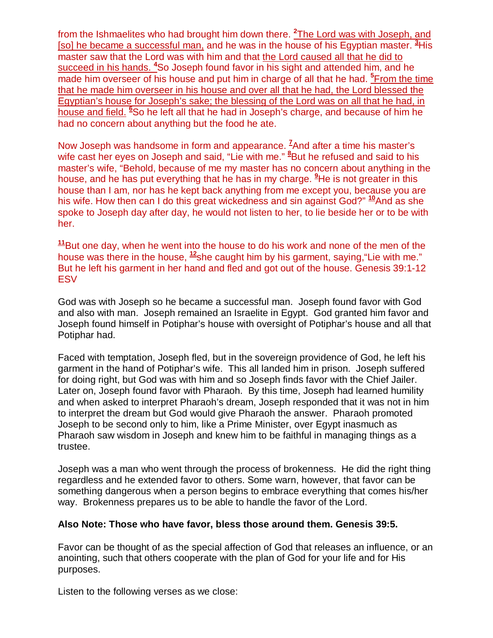from the Ishmaelites who had brought him down there. <sup>2</sup>The Lord was with Joseph, and [so] he became a successful man, and he was in the house of his Egyptian master. **<sup>3</sup>**His master saw that the Lord was with him and that the Lord caused all that he did to succeed in his hands. **<sup>4</sup>**So Joseph found favor in his sight and attended him, and he made him overseer of his house and put him in charge of all that he had. <sup>5</sup> From the time that he made him overseer in his house and over all that he had, the Lord blessed the Egyptian's house for Joseph's sake; the blessing of the Lord was on all that he had, in house and field. **<sup>6</sup>**So he left all that he had in Joseph's charge, and because of him he had no concern about anything but the food he ate.

Now Joseph was handsome in form and appearance. **<sup>7</sup>**And after a time his master's wife cast her eyes on Joseph and said, "Lie with me." <sup>8</sup>But he refused and said to his master's wife, "Behold, because of me my master has no concern about anything in the house, and he has put everything that he has in my charge. **<sup>9</sup>**He is not greater in this house than I am, nor has he kept back anything from me except you, because you are his wife. How then can I do this great wickedness and sin against God?" **<sup>10</sup>**And as she spoke to Joseph day after day, he would not listen to her, to lie beside h[er](http://biblehub.com/genesis/39-10.htm) or to be with her.

**<sup>11</sup>**[But one day, when he went into the house to do his work and none of the men of the](http://biblehub.com/genesis/39-11.htm)  house was there in the house, **<sup>12</sup>**[she caught him by his garment, saying,"Lie with me."](http://biblehub.com/genesis/39-12.htm)  But he left his garment in her hand and fled and got out of the house. Genesis 39:1-12 **ESV** 

God was with Joseph so he became a successful man. Joseph found favor with God and also with man. Joseph remained an Israelite in Egypt. God granted him favor and Joseph found himself in Potiphar's house with oversight of Potiphar's house and all that Potiphar had.

Faced with temptation, Joseph fled, but in the sovereign providence of God, he left his garment in the hand of Potiphar's wife. This all landed him in prison. Joseph suffered for doing right, but God was with him and so Joseph finds favor with the Chief Jailer. Later on, Joseph found favor with Pharaoh. By this time, Joseph had learned humility and when asked to interpret Pharaoh's dream, Joseph responded that it was not in him to interpret the dream but God would give Pharaoh the answer. Pharaoh promoted Joseph to be second only to him, like a Prime Minister, over Egypt inasmuch as Pharaoh saw wisdom in Joseph and knew him to be faithful in managing things as a trustee.

Joseph was a man who went through the process of brokenness. He did the right thing regardless and he extended favor to others. Some warn, however, that favor can be something dangerous when a person begins to embrace everything that comes his/her way. Brokenness prepares us to be able to handle the favor of the Lord.

# **Also Note: Those who have favor, bless those around them. Genesis 39:5.**

Favor can be thought of as the special affection of God that releases an influence, or an anointing, such that others cooperate with the plan of God for your life and for His purposes.

Listen to the following verses as we close: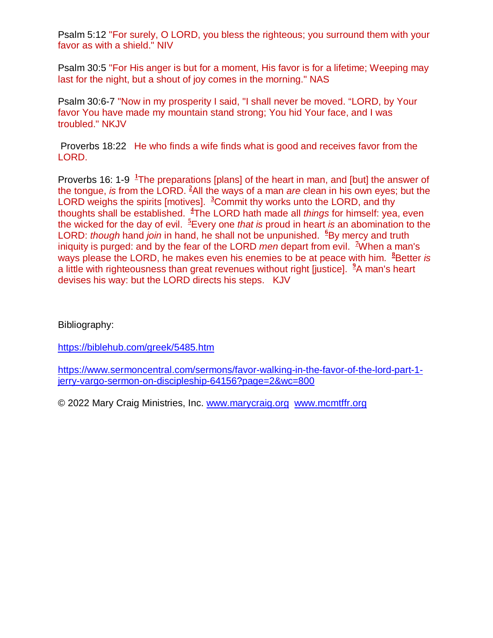Psalm 5:12 "For surely, O LORD, you bless the righteous; you surround them with your favor as with a shield." NIV

Psalm 30:5 "For His anger is but for a moment, His favor is for a lifetime; Weeping may last for the night, but a shout of joy comes in the morning." NAS

Psalm 30:6-7 "Now in my prosperity I said, "I shall never be moved. "LORD, by Your favor You have made my mountain stand strong; You hid Your face, and I was troubled." NKJV

 [Proverbs 18:22 He who finds a wife finds what is good and receives favor from the](https://www.sermoncentral.com/bible/new-international-version-niv/Proverbs-18-22?passage=Proverbs+18%3A22)  LORD.

Proverbs 16: 1-9 <sup>1</sup>The preparations [plans] of the heart in man, and [but] the answer of the tongue, is from the LORD. **<sup>2</sup>**All the ways of a man are clean in his own eyes; but the LORD weighs the spirits [motives]. <sup>3</sup>Commit thy works unto the LORD, and thy thoughts shall be established. **<sup>4</sup>** The LORD hath made all things for himself: yea, even the wicked for the day of evil. **<sup>5</sup>**Every one that is proud in heart is an abomination to the LORD: though hand join in hand, he shall not be unpunished. <sup>6</sup>By mercy and truth iniquity is purged: and by the fear of the LORD men depart from evil. **<sup>7</sup>**When a man's ways please the LORD, he makes even his enemies to be at peace with him. <sup>8</sup>Better is a little with righteousness than great revenues without right [justice]. **<sup>9</sup>**A man's heart devises his way: but the LORD directs his steps. KJV

Bibliography:

<https://biblehub.com/greek/5485.htm>

[https://www.sermoncentral.com/sermons/favor-walking-in-the-favor-of-the-lord-part-1](https://www.sermoncentral.com/sermons/favor-walking-in-the-favor-of-the-lord-part-1-jerry-vargo-sermon-on-discipleship-64156?page=2&wc=800) jerry-vargo-sermon-on-discipleship-64156?page=2&wc=800

© 2022 Mary Craig Ministries, Inc. [www.marycraig.org www.mcmtffr.org](http://www.marycraig.org/)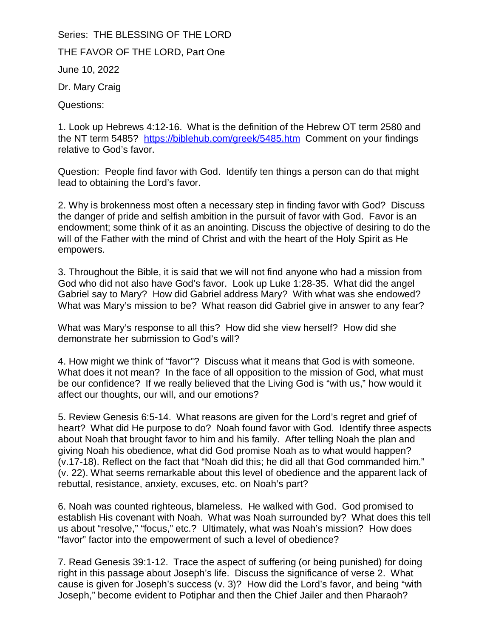Series: THE BLESSING OF THE LORD THE FAVOR OF THE LORD, Part One June 10, 2022 Dr. Mary Craig Questions:

1. Look up Hebrews 4:12-16. What is the definition of the Hebrew OT term 2580 and the NT term 5485? <https://biblehub.com/greek/5485.htm>Comment on your findings relative to God's favor.

Question: People find favor with God. Identify ten things a person can do that might lead to obtaining the Lord's favor.

2. Why is brokenness most often a necessary step in finding favor with God? Discuss the danger of pride and selfish ambition in the pursuit of favor with God. Favor is an endowment; some think of it as an anointing. Discuss the objective of desiring to do the will of the Father with the mind of Christ and with the heart of the Holy Spirit as He empowers.

3. Throughout the Bible, it is said that we will not find anyone who had a mission from God who did not also have God's favor. Look up Luke 1:28-35. What did the angel Gabriel say to Mary? How did Gabriel address Mary? With what was she endowed? What was Mary's mission to be? What reason did Gabriel give in answer to any fear?

What was Mary's response to all this? How did she view herself? How did she demonstrate her submission to God's will?

4. How might we think of "favor"? Discuss what it means that God is with someone. What does it not mean? In the face of all opposition to the mission of God, what must be our confidence? If we really believed that the Living God is "with us," how would it affect our thoughts, our will, and our emotions?

5. Review Genesis 6:5-14. What reasons are given for the Lord's regret and grief of heart? What did He purpose to do? Noah found favor with God. Identify three aspects about Noah that brought favor to him and his family. After telling Noah the plan and giving Noah his obedience, what did God promise Noah as to what would happen? (v.17-18). Reflect on the fact that "Noah did this; he did all that God commanded him." (v. 22). What seems remarkable about this level of obedience and the apparent lack of rebuttal, resistance, anxiety, excuses, etc. on Noah's part?

6. Noah was counted righteous, blameless. He walked with God. God promised to establish His covenant with Noah. What was Noah surrounded by? What does this tell us about "resolve," "focus," etc.? Ultimately, what was Noah's mission? How does "favor" factor into the empowerment of such a level of obedience?

7. Read Genesis 39:1-12. Trace the aspect of suffering (or being punished) for doing right in this passage about Joseph's life. Discuss the significance of verse 2. What cause is given for Joseph's success (v. 3)? How did the Lord's favor, and being "with Joseph," become evident to Potiphar and then the Chief Jailer and then Pharaoh?